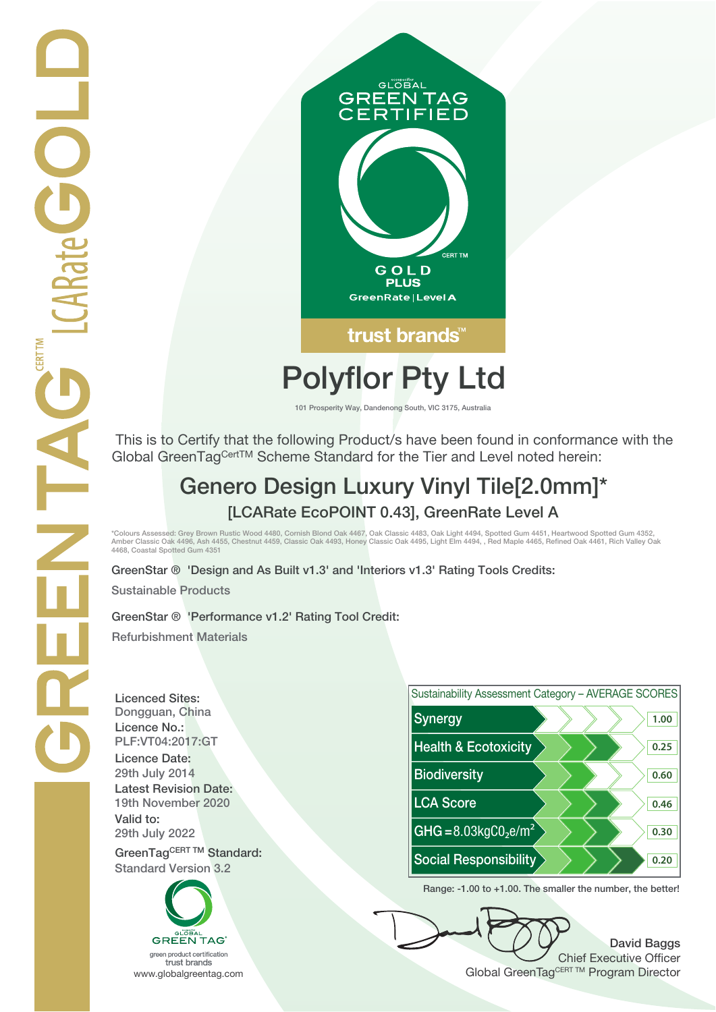

# **Polyflor Pty Ltd**

**101 Prosperity Way, Dandenong South, VIC 3175, Australia**

 This is to Certify that the following Product/s have been found in conformance with the Global GreenTagCertTM Scheme Standard for the Tier and Level noted herein:

## **Genero Design Luxury Vinyl Tile[2.0mm]\* [LCARate EcoPOINT 0.43], GreenRate Level A**

\*Colours Assessed: Grey Brown Rustic Wood 4480, Cornish Blond Oak 4467, Oak Classic 4483, Oak Light 4494, Spotted Gum 4451, Heartwood Spotted Gum 4352,<br>Amber Classic Oak 4496, Ash 4455, Chestnut 4459, Classic Oak 4493, Hon **4468, Coastal Spotted Gum 4351**

**GreenStar ® 'Design and As Built v1.3' and 'Interiors v1.3' Rating Tools Credits:**

**Sustainable Products**

**GreenStar ® 'Performance v1.2' Rating Tool Credit: Refurbishment Materials**

**Licenced Sites: Licence No.: Licence Date: Latest Revision Date: Valid to:**

**Standard Version 3.2**





**Range: -1.00 to +1.00. The smaller the number, the better!**

**David Baggs** Chief Executive Officer WWW.globalgreentag.com **Program Director** Clobal GreenTagCERT TM Program Director